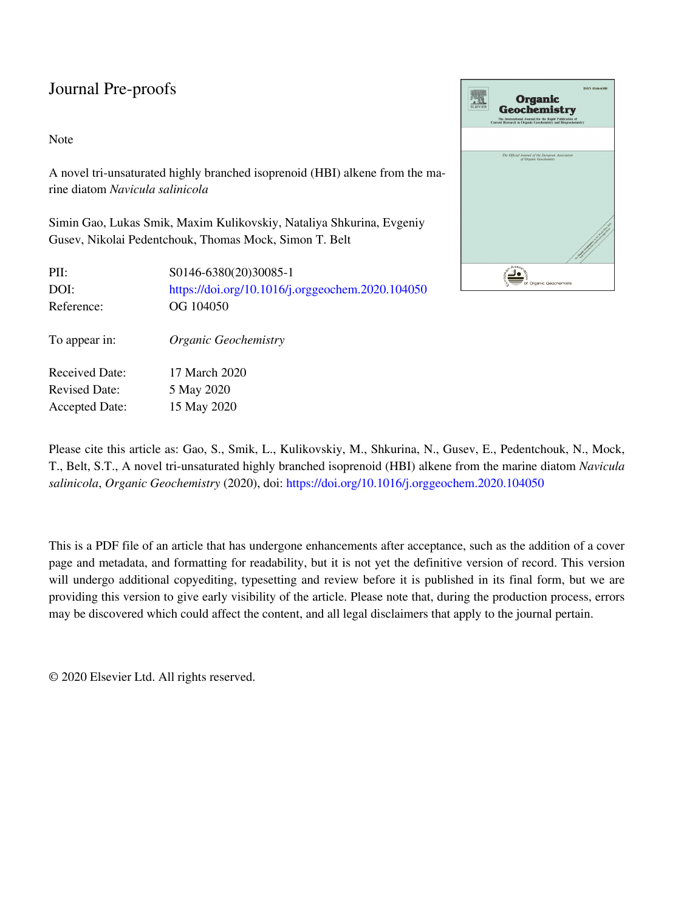## Journal Pre-proofs

#### Note

A novel tri-unsaturated highly branched isoprenoid (HBI) alkene from the marine diatom *Navicula salinicola*

Simin Gao, Lukas Smik, Maxim Kulikovskiy, Nataliya Shkurina, Evgeniy Gusev, Nikolai Pedentchouk, Thomas Mock, Simon T. Belt

| PII:                  | S0146-6380(20)30085-1                            |
|-----------------------|--------------------------------------------------|
| DOI:                  | https://doi.org/10.1016/j.orggeochem.2020.104050 |
| Reference:            | OG 104050                                        |
| To appear in:         | Organic Geochemistry                             |
| Received Date:        | 17 March 2020                                    |
| <b>Revised Date:</b>  | 5 May 2020                                       |
| <b>Accepted Date:</b> | 15 May 2020                                      |

**Organic Geochemistry** The International Journal for the Rapid Publ **Journal of the Europe**<br>of Organic Geochanic 

Please cite this article as: Gao, S., Smik, L., Kulikovskiy, M., Shkurina, N., Gusev, E., Pedentchouk, N., Mock, T., Belt, S.T., A novel tri-unsaturated highly branched isoprenoid (HBI) alkene from the marine diatom *Navicula salinicola*, *Organic Geochemistry* (2020), doi:<https://doi.org/10.1016/j.orggeochem.2020.104050>

This is a PDF file of an article that has undergone enhancements after acceptance, such as the addition of a cover page and metadata, and formatting for readability, but it is not yet the definitive version of record. This version will undergo additional copyediting, typesetting and review before it is published in its final form, but we are providing this version to give early visibility of the article. Please note that, during the production process, errors may be discovered which could affect the content, and all legal disclaimers that apply to the journal pertain.

© 2020 Elsevier Ltd. All rights reserved.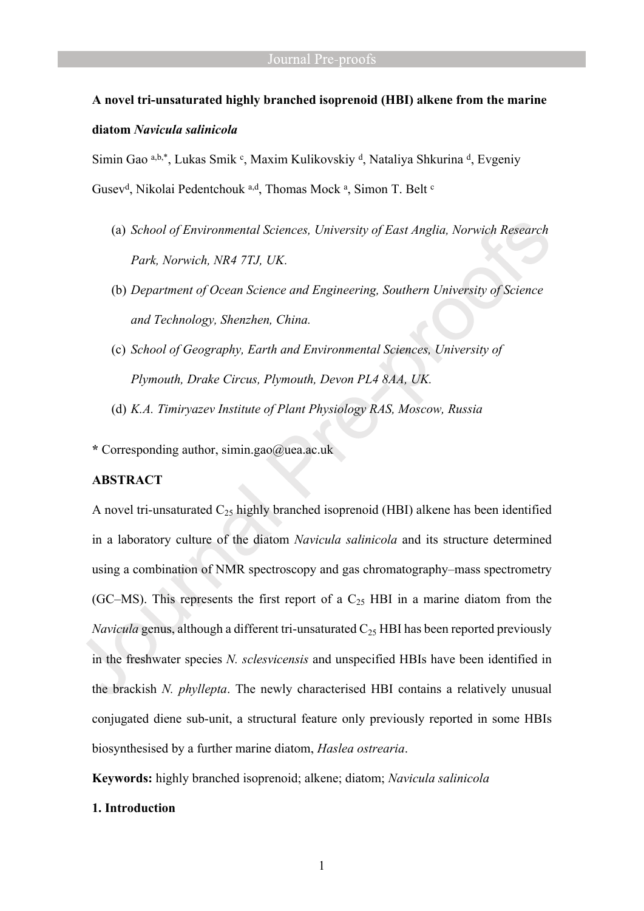# **A novel tri-unsaturated highly branched isoprenoid (HBI) alkene from the marine diatom** *Navicula salinicola*

Simin Gao a,b,\*, Lukas Smik c, Maxim Kulikovskiy d, Nataliya Shkurina d, Evgeniy

Gusev<sup>d</sup>, Nikolai Pedentchouk a,d, Thomas Mock a, Simon T. Belt <sup>c</sup>

- (a) *School of Environmental Sciences, University of East Anglia, Norwich Research Park, Norwich, NR4 7TJ, UK*.
- (b) *Department of Ocean Science and Engineering, Southern University of Science and Technology, Shenzhen, China.*
- (c) *School of Geography, Earth and Environmental Sciences, University of Plymouth, Drake Circus, Plymouth, Devon PL4 8AA, UK.*
- (d) *K.A. Timiryazev Institute of Plant Physiology RAS, Moscow, Russia*

**\*** Corresponding author, simin.gao@uea.ac.uk

#### **ABSTRACT**

A novel tri-unsaturated  $C_{25}$  highly branched isoprenoid (HBI) alkene has been identified in a laboratory culture of the diatom *Navicula salinicola* and its structure determined using a combination of NMR spectroscopy and gas chromatography–mass spectrometry (GC–MS). This represents the first report of a  $C_{25}$  HBI in a marine diatom from the *Navicula* genus, although a different tri-unsaturated C<sub>25</sub> HBI has been reported previously in the freshwater species *N. sclesvicensis* and unspecified HBIs have been identified in the brackish *N. phyllepta*. The newly characterised HBI contains a relatively unusual conjugated diene sub-unit, a structural feature only previously reported in some HBIs biosynthesised by a further marine diatom, *Haslea ostrearia*.

**Keywords:** highly branched isoprenoid; alkene; diatom; *Navicula salinicola*

#### **1. Introduction**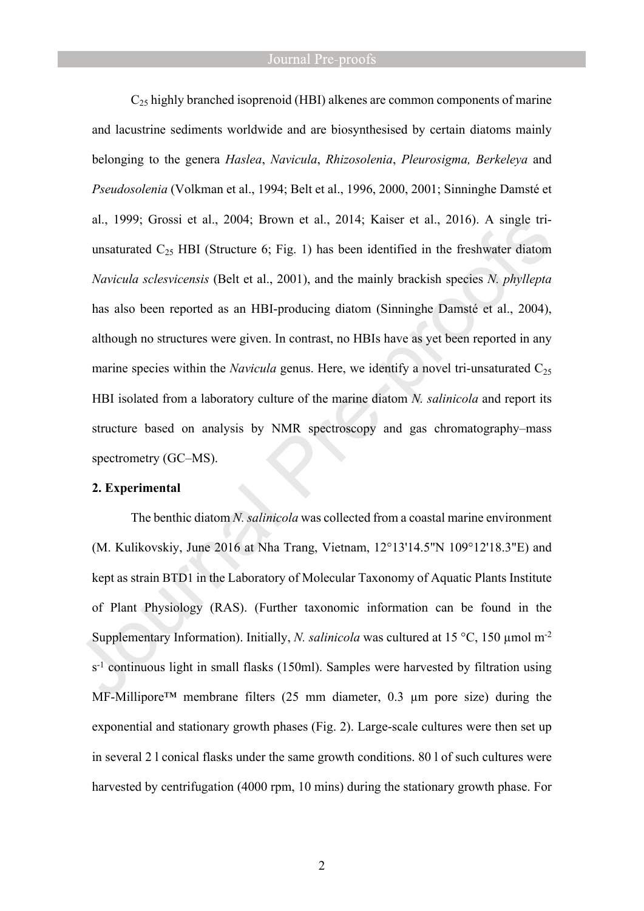#### Journal Pre-proofs

 $C_{25}$  highly branched isoprenoid (HBI) alkenes are common components of marine and lacustrine sediments worldwide and are biosynthesised by certain diatoms mainly belonging to the genera *Haslea*, *Navicula*, *Rhizosolenia*, *Pleurosigma, Berkeleya* and *Pseudosolenia* (Volkman et al., 1994; Belt et al., 1996, 2000, 2001; Sinninghe Damsté et al., 1999; Grossi et al., 2004; Brown et al., 2014; Kaiser et al., 2016). A single triunsaturated  $C_{25}$  HBI (Structure 6; Fig. 1) has been identified in the freshwater diatom *Navicula sclesvicensis* (Belt et al., 2001), and the mainly brackish species *N. phyllepta* has also been reported as an HBI-producing diatom (Sinninghe Damsté et al., 2004), although no structures were given. In contrast, no HBIs have as yet been reported in any marine species within the *Navicula* genus. Here, we identify a novel tri-unsaturated  $C_{25}$ HBI isolated from a laboratory culture of the marine diatom *N. salinicola* and report its structure based on analysis by NMR spectroscopy and gas chromatography–mass spectrometry (GC–MS).

#### **2. Experimental**

The benthic diatom *N. salinicola* was collected from a coastal marine environment (M. Kulikovskiy, June 2016 at Nha Trang, Vietnam, 12°13'14.5"N 109°12'18.3"E) and kept as strain BTD1 in the Laboratory of Molecular Taxonomy of Aquatic Plants Institute of Plant Physiology (RAS). (Further taxonomic information can be found in the Supplementary Information). Initially, *N. salinicola* was cultured at 15 °C, 150 µmol m<sup>-2</sup> s<sup>-1</sup> continuous light in small flasks (150ml). Samples were harvested by filtration using  $MF-Millipore<sup>TM</sup>$  membrane filters (25 mm diameter, 0.3 µm pore size) during the exponential and stationary growth phases (Fig. 2). Large-scale cultures were then set up in several 2 l conical flasks under the same growth conditions. 80 l of such cultures were harvested by centrifugation (4000 rpm, 10 mins) during the stationary growth phase. For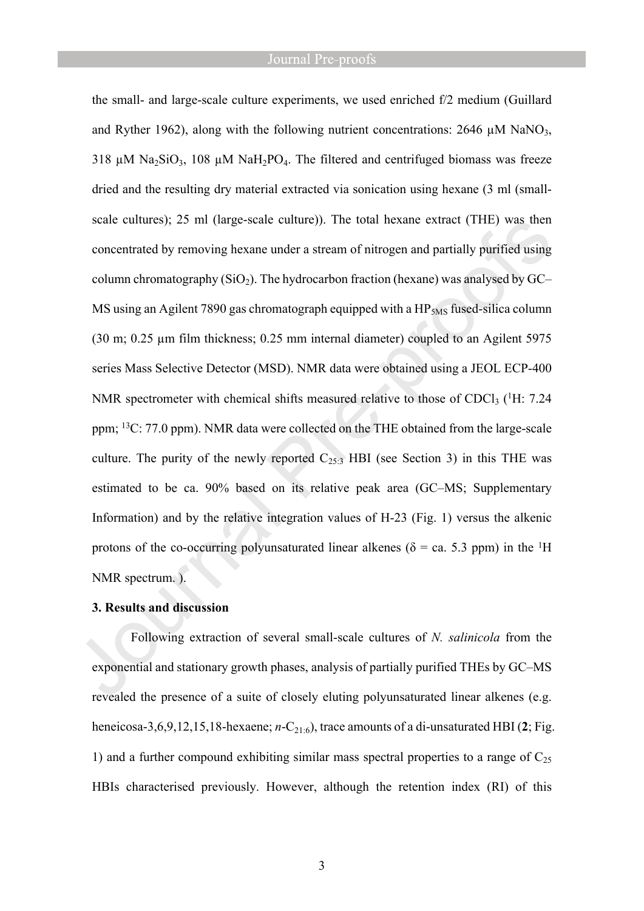the small- and large-scale culture experiments, we used enriched f/2 medium (Guillard and Ryther 1962), along with the following nutrient concentrations:  $2646 \mu M \text{ NaNO}_3$ , 318  $\mu$ M Na<sub>2</sub>SiO<sub>3</sub>, 108  $\mu$ M NaH<sub>2</sub>PO<sub>4</sub>. The filtered and centrifuged biomass was freeze dried and the resulting dry material extracted via sonication using hexane (3 ml (smallscale cultures); 25 ml (large-scale culture)). The total hexane extract (THE) was then concentrated by removing hexane under a stream of nitrogen and partially purified using column chromatography ( $SiO<sub>2</sub>$ ). The hydrocarbon fraction (hexane) was analysed by GC– MS using an Agilent 7890 gas chromatograph equipped with a  $HP<sub>5MS</sub>$  fused-silica column (30 m; 0.25 µm film thickness; 0.25 mm internal diameter) coupled to an Agilent 5975 series Mass Selective Detector (MSD). NMR data were obtained using a JEOL ECP-400 NMR spectrometer with chemical shifts measured relative to those of CDCl<sub>3</sub> ( ${}^{1}$ H: 7.24 ppm; <sup>13</sup>C: 77.0 ppm). NMR data were collected on the THE obtained from the large-scale culture. The purity of the newly reported  $C_{25:3}$  HBI (see Section 3) in this THE was estimated to be ca. 90% based on its relative peak area (GC–MS; Supplementary Information) and by the relative integration values of H-23 (Fig. 1) versus the alkenic protons of the co-occurring polyunsaturated linear alkenes ( $\delta$  = ca. 5.3 ppm) in the <sup>1</sup>H NMR spectrum. ).

#### **3. Results and discussion**

Following extraction of several small-scale cultures of *N. salinicola* from the exponential and stationary growth phases, analysis of partially purified THEs by GC–MS revealed the presence of a suite of closely eluting polyunsaturated linear alkenes (e.g. heneicosa-3,6,9,12,15,18-hexaene; *n*-C<sub>21:6</sub>), trace amounts of a di-unsaturated HBI (2; Fig. 1) and a further compound exhibiting similar mass spectral properties to a range of  $C_{25}$ HBIs characterised previously. However, although the retention index (RI) of this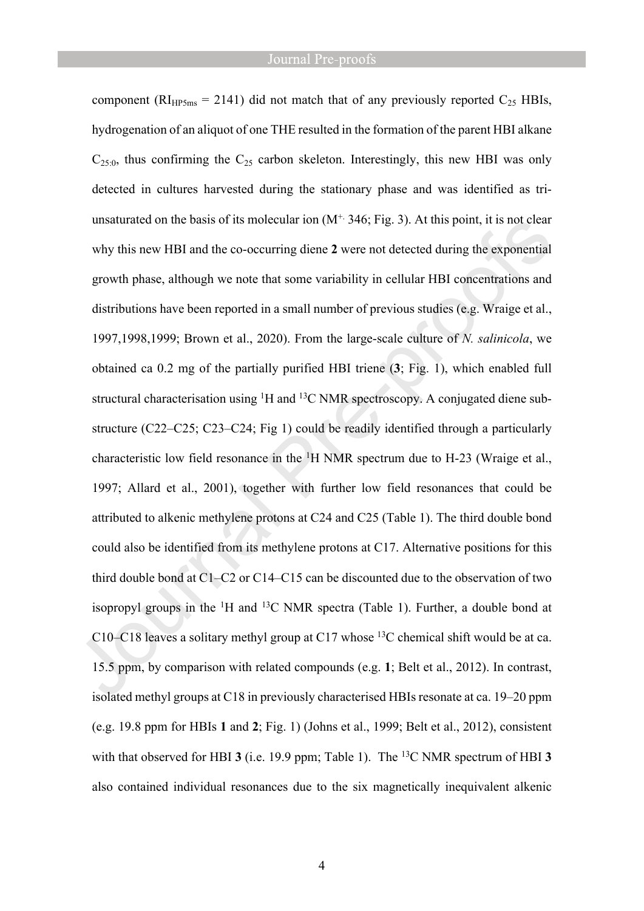component ( $RI<sub>HPSms</sub> = 2141$ ) did not match that of any previously reported  $C<sub>25</sub> HBIs$ , hydrogenation of an aliquot of one THE resulted in the formation of the parent HBI alkane  $C_{25:0}$ , thus confirming the  $C_{25}$  carbon skeleton. Interestingly, this new HBI was only detected in cultures harvested during the stationary phase and was identified as triunsaturated on the basis of its molecular ion  $(M^+$  346; Fig. 3). At this point, it is not clear why this new HBI and the co-occurring diene **2** were not detected during the exponential growth phase, although we note that some variability in cellular HBI concentrations and distributions have been reported in a small number of previous studies (e.g. Wraige et al., 1997,1998,1999; Brown et al., 2020). From the large-scale culture of *N. salinicola*, we obtained ca 0.2 mg of the partially purified HBI triene (**3**; Fig. 1), which enabled full structural characterisation using  ${}^{1}H$  and  ${}^{13}C$  NMR spectroscopy. A conjugated diene substructure (C22–C25; C23–C24; Fig 1) could be readily identified through a particularly characteristic low field resonance in the <sup>1</sup>H NMR spectrum due to H-23 (Wraige et al., 1997; Allard et al., 2001), together with further low field resonances that could be attributed to alkenic methylene protons at C24 and C25 (Table 1). The third double bond could also be identified from its methylene protons at C17. Alternative positions for this third double bond at C1–C2 or C14–C15 can be discounted due to the observation of two isopropyl groups in the  ${}^{1}H$  and  ${}^{13}C$  NMR spectra (Table 1). Further, a double bond at C10–C18 leaves a solitary methyl group at C17 whose <sup>13</sup>C chemical shift would be at ca. 15.5 ppm, by comparison with related compounds (e.g. **1**; Belt et al., 2012). In contrast, isolated methyl groups at C18 in previously characterised HBIs resonate at ca. 19–20 ppm (e.g. 19.8 ppm for HBIs **1** and **2**; Fig. 1) (Johns et al., 1999; Belt et al., 2012), consistent with that observed for HBI **3** (i.e. 19.9 ppm; Table 1). The <sup>13</sup>C NMR spectrum of HBI **3** also contained individual resonances due to the six magnetically inequivalent alkenic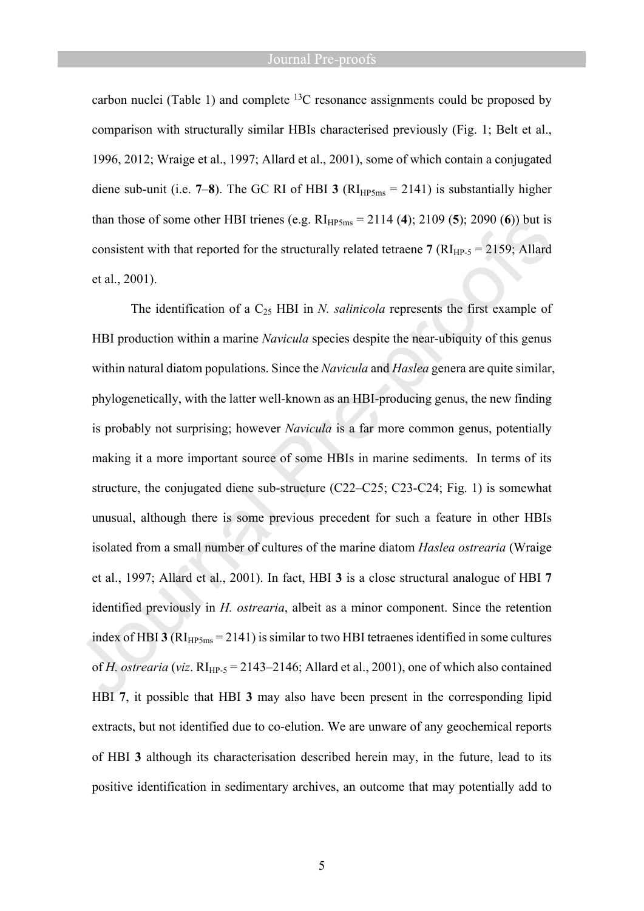#### Journal Pre-proofs

carbon nuclei (Table 1) and complete  ${}^{13}C$  resonance assignments could be proposed by comparison with structurally similar HBIs characterised previously (Fig. 1; Belt et al., 1996, 2012; Wraige et al., 1997; Allard et al., 2001), some of which contain a conjugated diene sub-unit (i.e.  $7-8$ ). The GC RI of HBI **3** ( $RI<sub>HPSms</sub> = 2141$ ) is substantially higher than those of some other HBI trienes (e.g.  $RI_{HP5ms} = 2114 (4)$ ; 2109 (5); 2090 (6)) but is consistent with that reported for the structurally related tetraene  $7 (RI<sub>HP-5</sub> = 2159; Allard)$ et al., 2001).

The identification of a  $C_{25}$  HBI in *N. salinicola* represents the first example of HBI production within a marine *Navicula* species despite the near-ubiquity of this genus within natural diatom populations. Since the *Navicula* and *Haslea* genera are quite similar, phylogenetically, with the latter well-known as an HBI-producing genus, the new finding is probably not surprising; however *Navicula* is a far more common genus, potentially making it a more important source of some HBIs in marine sediments. In terms of its structure, the conjugated diene sub-structure (C22–C25; C23-C24; Fig. 1) is somewhat unusual, although there is some previous precedent for such a feature in other HBIs isolated from a small number of cultures of the marine diatom *Haslea ostrearia* (Wraige et al., 1997; Allard et al., 2001). In fact, HBI **3** is a close structural analogue of HBI **7** identified previously in *H. ostrearia*, albeit as a minor component. Since the retention index of HBI  $3$  ( $\text{RI}_{\text{HP5ms}}$  = 2141) is similar to two HBI tetraenes identified in some cultures of *H. ostrearia* (*viz.* RI<sub>HP-5</sub> = 2143–2146; Allard et al., 2001), one of which also contained HBI **7**, it possible that HBI **3** may also have been present in the corresponding lipid extracts, but not identified due to co-elution. We are unware of any geochemical reports of HBI **3** although its characterisation described herein may, in the future, lead to its positive identification in sedimentary archives, an outcome that may potentially add to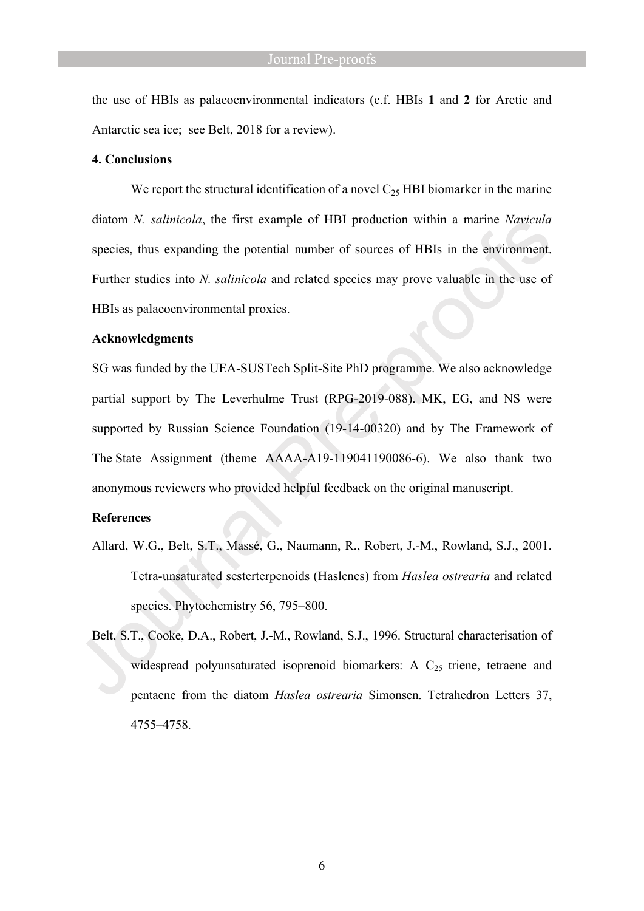the use of HBIs as palaeoenvironmental indicators (c.f. HBIs **1** and **2** for Arctic and Antarctic sea ice; see Belt, 2018 for a review).

#### **4. Conclusions**

We report the structural identification of a novel  $C_{25}$  HBI biomarker in the marine diatom *N. salinicola*, the first example of HBI production within a marine *Navicula* species, thus expanding the potential number of sources of HBIs in the environment. Further studies into *N. salinicola* and related species may prove valuable in the use of HBIs as palaeoenvironmental proxies.

#### **Acknowledgments**

SG was funded by the UEA-SUSTech Split-Site PhD programme. We also acknowledge partial support by The Leverhulme Trust (RPG-2019-088). MK, EG, and NS were supported by Russian Science Foundation (19-14-00320) and by The Framework of The State Assignment (theme АААА-А19-119041190086-6). We also thank two anonymous reviewers who provided helpful feedback on the original manuscript.

#### **References**

- Allard, W.G., Belt, S.T., Massé, G., Naumann, R., Robert, J.-M., Rowland, S.J., 2001. Tetra-unsaturated sesterterpenoids (Haslenes) from *Haslea ostrearia* and related species. Phytochemistry 56, 795–800.
- Belt, S.T., Cooke, D.A., Robert, J.-M., Rowland, S.J., 1996. Structural characterisation of widespread polyunsaturated isoprenoid biomarkers: A  $C_{25}$  triene, tetraene and pentaene from the diatom *Haslea ostrearia* Simonsen. Tetrahedron Letters 37, 4755–4758.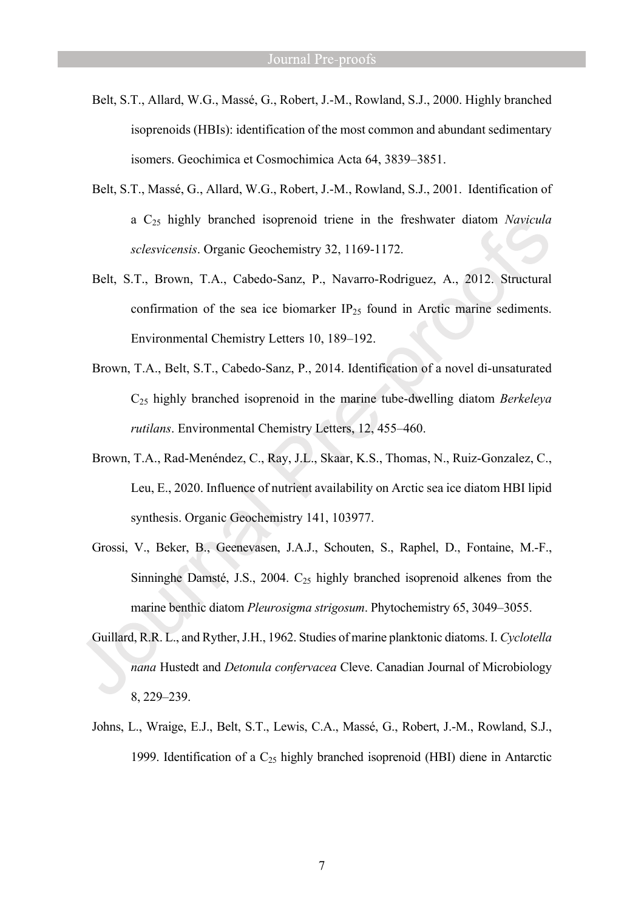- Belt, S.T., Allard, W.G., Massé, G., Robert, J.-M., Rowland, S.J., 2000. Highly branched isoprenoids (HBIs): identification of the most common and abundant sedimentary isomers. Geochimica et Cosmochimica Acta 64, 3839–3851.
- Belt, S.T., Massé, G., Allard, W.G., Robert, J.-M., Rowland, S.J., 2001. Identification of a C25 highly branched isoprenoid triene in the freshwater diatom *Navicula sclesvicensis*. Organic Geochemistry 32, 1169-1172.
- Belt, S.T., Brown, T.A., Cabedo-Sanz, P., Navarro-Rodriguez, A., 2012. Structural confirmation of the sea ice biomarker  $IP_{25}$  found in Arctic marine sediments. Environmental Chemistry Letters 10, 189–192.
- Brown, T.A., Belt, S.T., Cabedo-Sanz, P., 2014. Identification of a novel di-unsaturated C25 highly branched isoprenoid in the marine tube-dwelling diatom *Berkeleya rutilans*. Environmental Chemistry Letters, 12, 455–460.
- Brown, T.A., Rad-Menéndez, C., Ray, J.L., Skaar, K.S., Thomas, N., Ruiz-Gonzalez, C., Leu, E., 2020. Influence of nutrient availability on Arctic sea ice diatom HBI lipid synthesis. Organic Geochemistry 141, 103977.
- Grossi, V., Beker, B., Geenevasen, J.A.J., Schouten, S., Raphel, D., Fontaine, M.-F., Sinninghe Damsté, J.S., 2004.  $C_{25}$  highly branched isoprenoid alkenes from the marine benthic diatom *Pleurosigma strigosum*. Phytochemistry 65, 3049–3055.
- Guillard, R.R. L., and Ryther, J.H., 1962. Studies of marine planktonic diatoms. I. *Cyclotella nana* Hustedt and *Detonula confervacea* Cleve. Canadian Journal of Microbiology 8, 229–239.
- Johns, L., Wraige, E.J., Belt, S.T., Lewis, C.A., Massé, G., Robert, J.-M., Rowland, S.J., 1999. Identification of a  $C_{25}$  highly branched isoprenoid (HBI) diene in Antarctic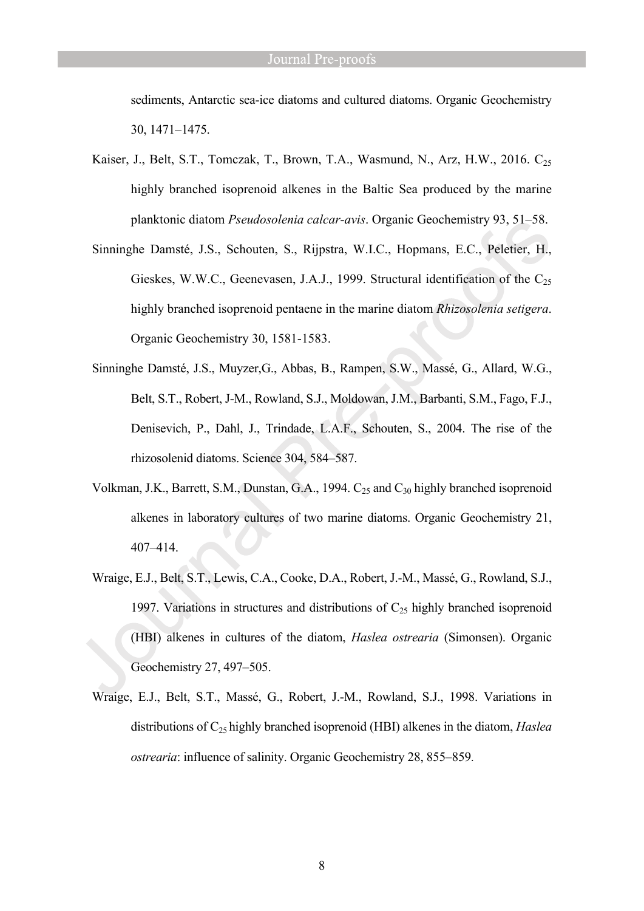sediments, Antarctic sea-ice diatoms and cultured diatoms. Organic Geochemistry 30, 1471–1475.

- Kaiser, J., Belt, S.T., Tomczak, T., Brown, T.A., Wasmund, N., Arz, H.W., 2016. C<sub>25</sub> highly branched isoprenoid alkenes in the Baltic Sea produced by the marine planktonic diatom *Pseudosolenia calcar-avis*. Organic Geochemistry 93, 51–58.
- Sinninghe Damsté, J.S., Schouten, S., Rijpstra, W.I.C., Hopmans, E.C., Peletier, H., Gieskes, W.W.C., Geenevasen, J.A.J., 1999. Structural identification of the  $C_{25}$ highly branched isoprenoid pentaene in the marine diatom *Rhizosolenia setigera*. Organic Geochemistry 30, 1581-1583.
- Sinninghe Damsté, J.S., Muyzer,G., Abbas, B., Rampen, S.W., Massé, G., Allard, W.G., Belt, S.T., Robert, J-M., Rowland, S.J., Moldowan, J.M., Barbanti, S.M., Fago, F.J., Denisevich, P., Dahl, J., Trindade, L.A.F., Schouten, S., 2004. The rise of the rhizosolenid diatoms. Science 304, 584–587.
- Volkman, J.K., Barrett, S.M., Dunstan, G.A., 1994.  $C_{25}$  and  $C_{30}$  highly branched isoprenoid alkenes in laboratory cultures of two marine diatoms. Organic Geochemistry 21, 407–414.
- Wraige, E.J., Belt, S.T., Lewis, C.A., Cooke, D.A., Robert, J.-M., Massé, G., Rowland, S.J., 1997. Variations in structures and distributions of  $C_{25}$  highly branched isoprenoid (HBI) alkenes in cultures of the diatom, *Haslea ostrearia* (Simonsen). Organic Geochemistry 27, 497–505.
- Wraige, E.J., Belt, S.T., Massé, G., Robert, J.-M., Rowland, S.J., 1998. Variations in distributions of C25 highly branched isoprenoid (HBI) alkenes in the diatom, *Haslea ostrearia*: influence of salinity. Organic Geochemistry 28, 855–859.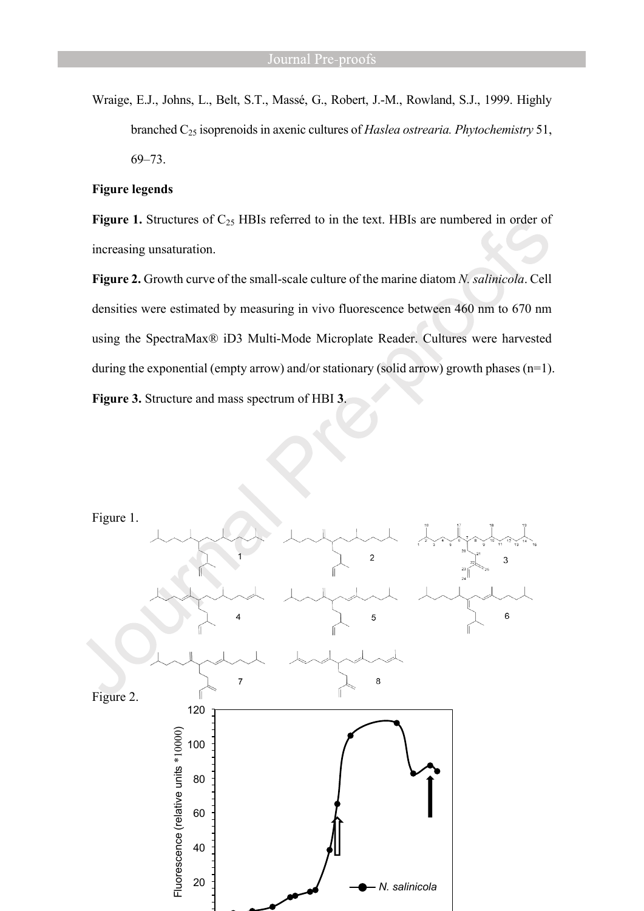Wraige, E.J., Johns, L., Belt, S.T., Massé, G., Robert, J.-M., Rowland, S.J., 1999. Highly branched C25 isoprenoids in axenic cultures of *Haslea ostrearia. Phytochemistry* 51, 69–73.

#### **Figure legends**

Figure 1. Structures of C<sub>25</sub> HBIs referred to in the text. HBIs are numbered in order of increasing unsaturation.

**Figure 2.** Growth curve of the small-scale culture of the marine diatom *N. salinicola*. Cell densities were estimated by measuring in vivo fluorescence between 460 nm to 670 nm using the SpectraMax® iD3 Multi-Mode Microplate Reader. Cultures were harvested during the exponential (empty arrow) and/or stationary (solid arrow) growth phases (n=1). **Figure 3.** Structure and mass spectrum of HBI **3**.

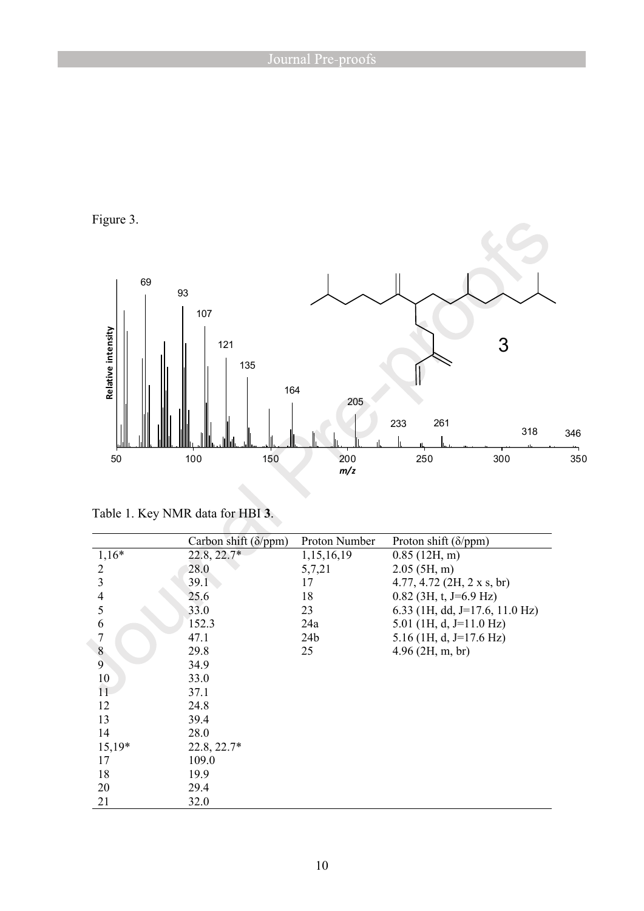

| Table 1. Key NMR data for HBI 3. |  |  |
|----------------------------------|--|--|
|                                  |  |  |
|                                  |  |  |

|          | Carbon shift $(\delta$ /ppm) | Proton Number   | Proton shift ( $\delta$ /ppm)      |
|----------|------------------------------|-----------------|------------------------------------|
| $1,16*$  | 22.8, 22.7*                  | 1,15,16,19      | 0.85(12H, m)                       |
| 2        | 28.0                         | 5,7,21          | $2.05$ (5H, m)                     |
| 3        | 39.1                         | 17              | 4.77, 4.72 (2H, $2 \times s$ , br) |
| 4        | 25.6                         | 18              | $0.82$ (3H, t, J=6.9 Hz)           |
| 5        | 33.0                         | 23              | 6.33 (1H, dd, J=17.6, 11.0 Hz)     |
| 6        | 152.3                        | 24a             | 5.01 (1H, d, J=11.0 Hz)            |
|          | 47.1                         | 24 <sub>b</sub> | 5.16 (1H, d, J=17.6 Hz)            |
| 8        | 29.8                         | 25              | $4.96$ (2H, m, br)                 |
| 9        | 34.9                         |                 |                                    |
| 10       | 33.0                         |                 |                                    |
| 11       | 37.1                         |                 |                                    |
| 12       | 24.8                         |                 |                                    |
| 13       | 39.4                         |                 |                                    |
| 14       | 28.0                         |                 |                                    |
| $15,19*$ | 22.8, 22.7*                  |                 |                                    |
| 17       | 109.0                        |                 |                                    |
| 18       | 19.9                         |                 |                                    |
| 20       | 29.4                         |                 |                                    |
| 21       | 32.0                         |                 |                                    |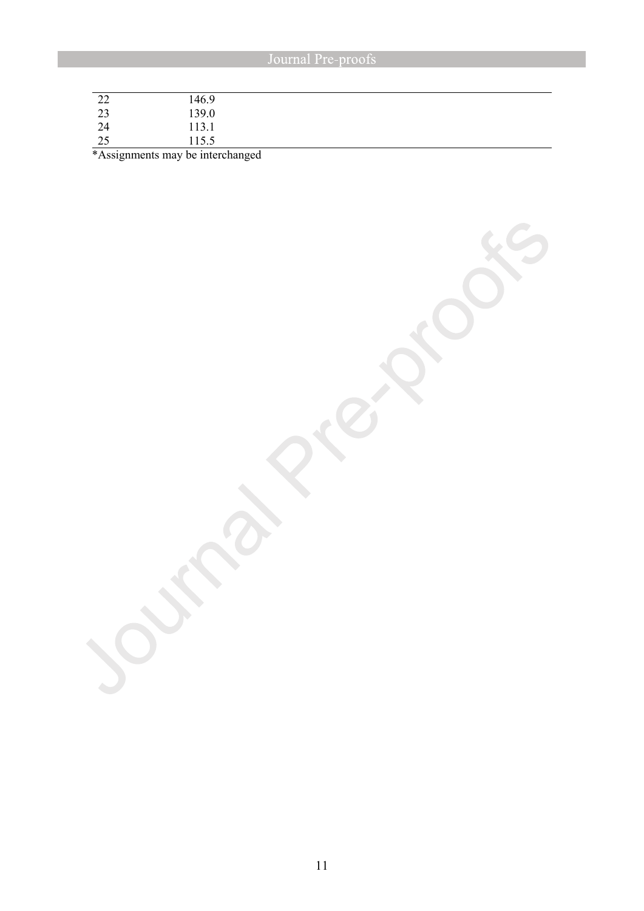| $\gamma$<br>∠∠   | 146.9 |  |  |  |
|------------------|-------|--|--|--|
| 22<br>$\Delta$   | 139.0 |  |  |  |
| 24               | 113.1 |  |  |  |
| $\gamma$<br>ں کے | 115.5 |  |  |  |

\*Assignments may be interchanged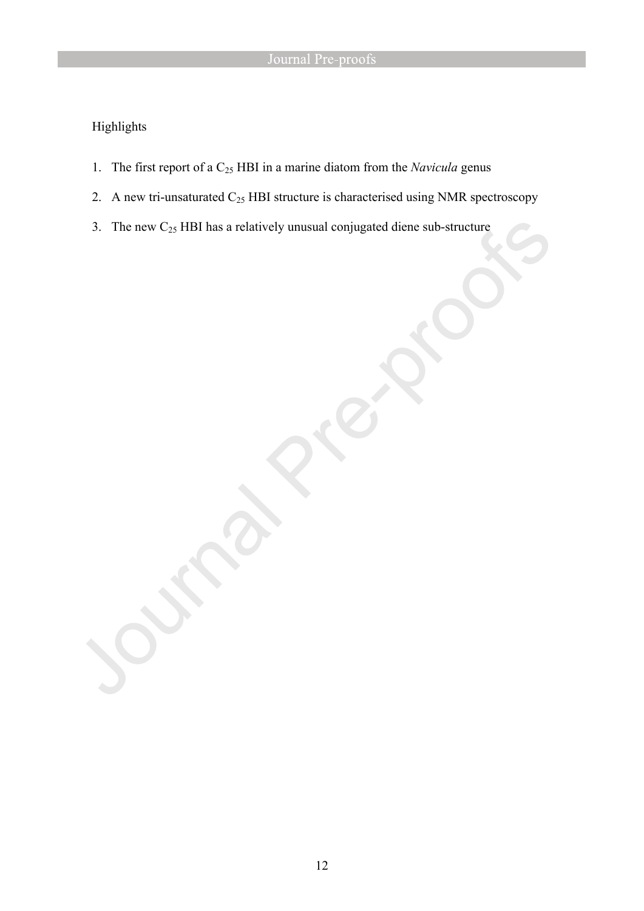### Highlights

- 1. The first report of a C25 HBI in a marine diatom from the *Navicula* genus
- 2. A new tri-unsaturated  $C_{25}$  HBI structure is characterised using NMR spectroscopy
- 3. The new  $C_{25}$  HBI has a relatively unusual conjugated diene sub-structure